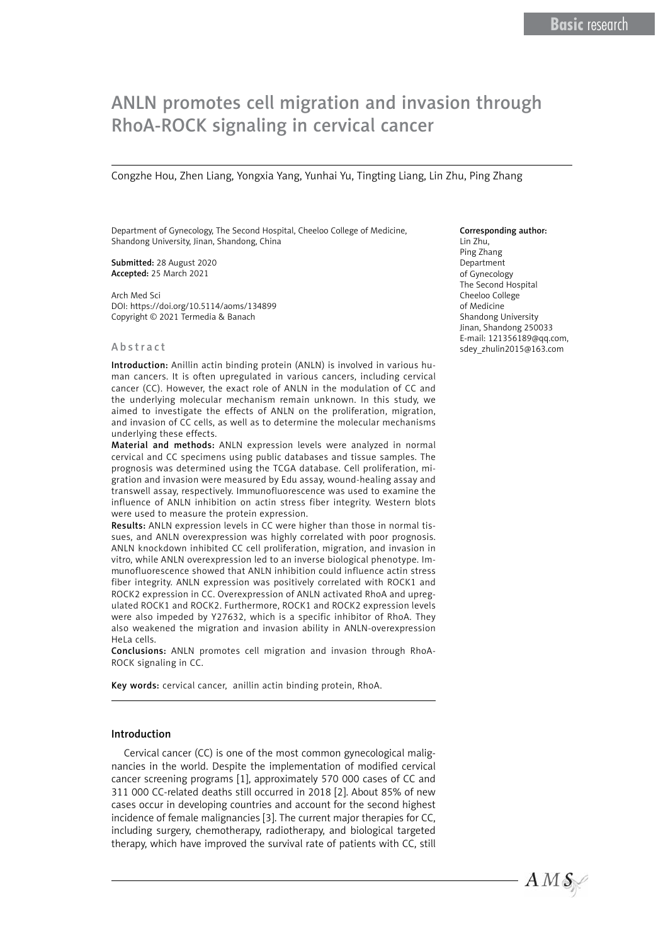# ANLN promotes cell migration and invasion through RhoA-ROCK signaling in cervical cancer

Congzhe Hou, Zhen Liang, Yongxia Yang, Yunhai Yu, Tingting Liang, Lin Zhu, Ping Zhang

Department of Gynecology, The Second Hospital, Cheeloo College of Medicine, Shandong University, Jinan, Shandong, China

Submitted: 28 August 2020 Accepted: 25 March 2021

Arch Med Sci DOI: https://doi.org/10.5114/aoms/134899 Copyright © 2021 Termedia & Banach

#### Abstract

Introduction: Anillin actin binding protein (ANLN) is involved in various human cancers. It is often upregulated in various cancers, including cervical cancer (CC). However, the exact role of ANLN in the modulation of CC and the underlying molecular mechanism remain unknown. In this study, we aimed to investigate the effects of ANLN on the proliferation, migration, and invasion of CC cells, as well as to determine the molecular mechanisms underlying these effects.

Material and methods: ANLN expression levels were analyzed in normal cervical and CC specimens using public databases and tissue samples. The prognosis was determined using the TCGA database. Cell proliferation, migration and invasion were measured by Edu assay, wound-healing assay and transwell assay, respectively. Immunofluorescence was used to examine the influence of ANLN inhibition on actin stress fiber integrity. Western blots were used to measure the protein expression.

Results: ANLN expression levels in CC were higher than those in normal tissues, and ANLN overexpression was highly correlated with poor prognosis. ANLN knockdown inhibited CC cell proliferation, migration, and invasion in vitro, while ANLN overexpression led to an inverse biological phenotype. Immunofluorescence showed that ANLN inhibition could influence actin stress fiber integrity. ANLN expression was positively correlated with ROCK1 and ROCK2 expression in CC. Overexpression of ANLN activated RhoA and upregulated ROCK1 and ROCK2. Furthermore, ROCK1 and ROCK2 expression levels were also impeded by Y27632, which is a specific inhibitor of RhoA. They also weakened the migration and invasion ability in ANLN-overexpression HeLa cells.

Conclusions: ANLN promotes cell migration and invasion through RhoA-ROCK signaling in CC.

Key words: cervical cancer, anillin actin binding protein, RhoA.

#### Introduction

Cervical cancer (CC) is one of the most common gynecological malignancies in the world. Despite the implementation of modified cervical cancer screening programs [1], approximately 570 000 cases of CC and 311 000 CC-related deaths still occurred in 2018 [2]. About 85% of new cases occur in developing countries and account for the second highest incidence of female malignancies [3]. The current major therapies for CC, including surgery, chemotherapy, radiotherapy, and biological targeted therapy, which have improved the survival rate of patients with CC, still

#### Corresponding author:

Lin Zhu, Ping Zhang Department of Gynecology The Second Hospital Cheeloo College of Medicine Shandong University Jinan, Shandong 250033 E-mail: 121356189@qq.com, [sdey\\_zhulin2015@163.com](mailto:sdey_zhulin2015@163.com)

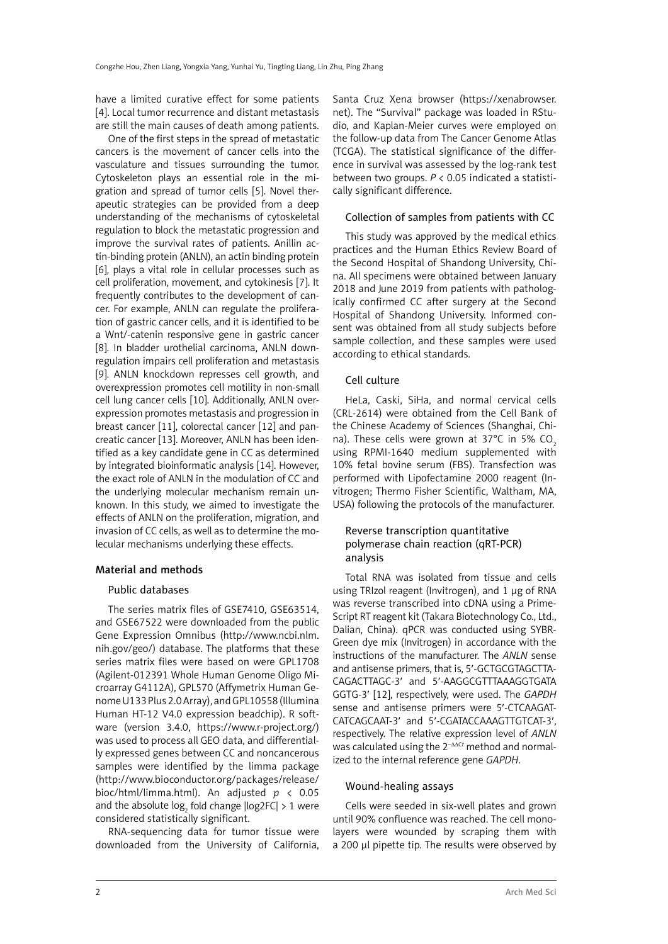have a limited curative effect for some patients [4]. Local tumor recurrence and distant metastasis are still the main causes of death among patients.

One of the first steps in the spread of metastatic cancers is the movement of cancer cells into the vasculature and tissues surrounding the tumor. Cytoskeleton plays an essential role in the migration and spread of tumor cells [5]. Novel therapeutic strategies can be provided from a deep understanding of the mechanisms of cytoskeletal regulation to block the metastatic progression and improve the survival rates of patients. Anillin actin-binding protein (ANLN), an actin binding protein [6], plays a vital role in cellular processes such as cell proliferation, movement, and cytokinesis [7]. It frequently contributes to the development of cancer. For example, ANLN can regulate the proliferation of gastric cancer cells, and it is identified to be a Wnt/-catenin responsive gene in gastric cancer [8]. In bladder urothelial carcinoma, ANLN downregulation impairs cell proliferation and metastasis [9]. ANLN knockdown represses cell growth, and overexpression promotes cell motility in non-small cell lung cancer cells [10]. Additionally, ANLN overexpression promotes metastasis and progression in breast cancer [11], colorectal cancer [12] and pancreatic cancer [13]. Moreover, ANLN has been identified as a key candidate gene in CC as determined by integrated bioinformatic analysis [14]. However, the exact role of ANLN in the modulation of CC and the underlying molecular mechanism remain unknown. In this study, we aimed to investigate the effects of ANLN on the proliferation, migration, and invasion of CC cells, as well as to determine the molecular mechanisms underlying these effects.

## Material and methods

## Public databases

The series matrix files of GSE7410, GSE63514, and GSE67522 were downloaded from the public Gene Expression Omnibus (http://www.ncbi.nlm. nih.gov/geo/) database. The platforms that these series matrix files were based on were GPL1708 (Agilent-012391 Whole Human Genome Oligo Microarray G4112A), GPL570 (Affymetrix Human Genome U133 Plus 2.0 Array), and GPL10558 (Illumina Human HT-12 V4.0 expression beadchip). R software (version 3.4.0, https://www.r-project.org/) was used to process all GEO data, and differentially expressed genes between CC and noncancerous samples were identified by the limma package ([http://www.bioconductor.](http://www.bioconductor)org/packages/release/ bioc/html/limma.html). An adjusted *p* < 0.05 and the absolute  $\log_2$  fold change  $|\text{log2FC}| > 1$  were considered statistically significant.

RNA-sequencing data for tumor tissue were downloaded from the University of California, Santa Cruz Xena browser (https://xenabrowser. net). The "Survival" package was loaded in RStudio, and Kaplan-Meier curves were employed on the follow-up data from The Cancer Genome Atlas (TCGA). The statistical significance of the difference in survival was assessed by the log-rank test between two groups. *P* < 0.05 indicated a statistically significant difference.

# Collection of samples from patients with CC

This study was approved by the medical ethics practices and the Human Ethics Review Board of the Second Hospital of Shandong University, China. All specimens were obtained between January 2018 and June 2019 from patients with pathologically confirmed CC after surgery at the Second Hospital of Shandong University. Informed consent was obtained from all study subjects before sample collection, and these samples were used according to ethical standards.

# Cell culture

HeLa, Caski, SiHa, and normal cervical cells (CRL-2614) were obtained from the Cell Bank of the Chinese Academy of Sciences (Shanghai, China). These cells were grown at  $37^{\circ}$ C in 5% CO<sub>2</sub> using RPMI-1640 medium supplemented with 10% fetal bovine serum (FBS). Transfection was performed with Lipofectamine 2000 reagent (Invitrogen; Thermo Fisher Scientific, Waltham, MA, USA) following the protocols of the manufacturer.

# Reverse transcription quantitative polymerase chain reaction (qRT-PCR) analysis

Total RNA was isolated from tissue and cells using TRIzol reagent (Invitrogen), and 1 µg of RNA was reverse transcribed into cDNA using a Prime-Script RT reagent kit (Takara Biotechnology Co., Ltd., Dalian, China). qPCR was conducted using SYBR-Green dye mix (Invitrogen) in accordance with the instructions of the manufacturer. The *ANLN* sense and antisense primers, that is, 5′-GCTGCGTAGCTTA-CAGACTTAGC-3′ and 5′-AAGGCGTTTAAAGGTGATA GGTG-3′ [12], respectively, were used. The *GAPDH*  sense and antisense primers were 5′-CTCAAGAT-CATCAGCAAT-3′ and 5′-CGATACCAAAGTTGTCAT-3′, respectively. The relative expression level of *ANLN* was calculated using the 2<sup>-ΔΔCt</sup> method and normalized to the internal reference gene *GAPDH*.

## Wound-healing assays

Cells were seeded in six-well plates and grown until 90% confluence was reached. The cell monolayers were wounded by scraping them with a 200 µl pipette tip. The results were observed by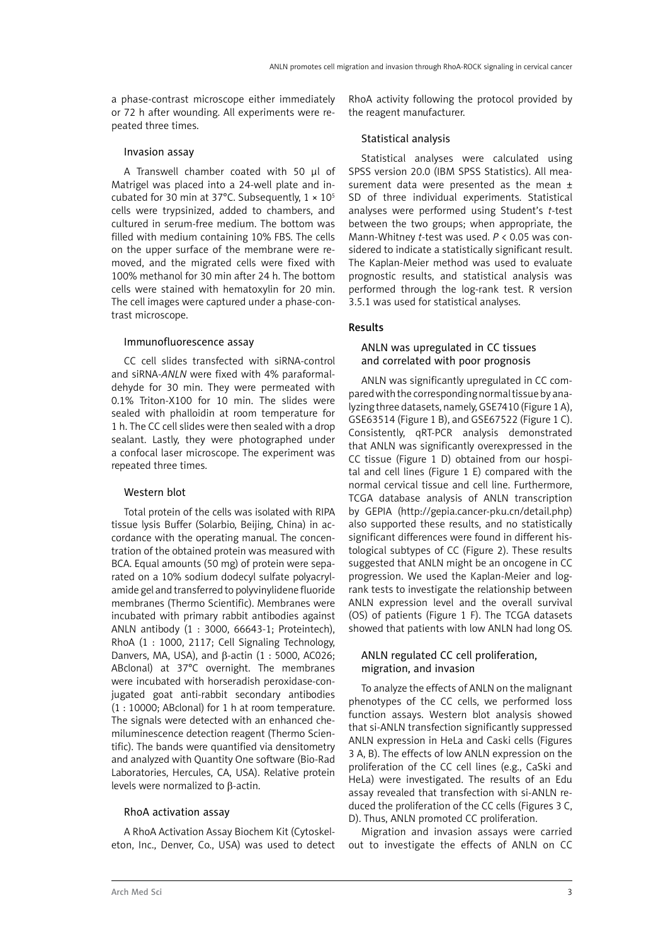a phase-contrast microscope either immediately or 72 h after wounding. All experiments were repeated three times.

#### Invasion assay

A Transwell chamber coated with 50 µl of Matrigel was placed into a 24-well plate and incubated for 30 min at 37°C. Subsequently,  $1 \times 10^{5}$ cells were trypsinized, added to chambers, and cultured in serum-free medium. The bottom was filled with medium containing 10% FBS. The cells on the upper surface of the membrane were removed, and the migrated cells were fixed with 100% methanol for 30 min after 24 h. The bottom cells were stained with hematoxylin for 20 min. The cell images were captured under a phase-contrast microscope.

## Immunofluorescence assay

CC cell slides transfected with siRNA-control and siRNA-*ANLN* were fixed with 4% paraformaldehyde for 30 min. They were permeated with 0.1% Triton-X100 for 10 min. The slides were sealed with phalloidin at room temperature for 1 h. The CC cell slides were then sealed with a drop sealant. Lastly, they were photographed under a confocal laser microscope. The experiment was repeated three times.

## Western blot

Total protein of the cells was isolated with RIPA tissue lysis Buffer (Solarbio, Beijing, China) in accordance with the operating manual. The concentration of the obtained protein was measured with BCA. Equal amounts (50 mg) of protein were separated on a 10% sodium dodecyl sulfate polyacrylamide gel and transferred to polyvinylidene fluoride membranes (Thermo Scientific). Membranes were incubated with primary rabbit antibodies against ANLN antibody (1 : 3000, 66643-1; Proteintech), RhoA (1 : 1000, 2117; Cell Signaling Technology, Danvers, MA, USA), and β-actin (1 : 5000, AC026; ABclonal) at 37°C overnight. The membranes were incubated with horseradish peroxidase-conjugated goat anti-rabbit secondary antibodies (1 : 10000; ABclonal) for 1 h at room temperature. The signals were detected with an enhanced chemiluminescence detection reagent (Thermo Scientific). The bands were quantified via densitometry and analyzed with Quantity One software (Bio-Rad Laboratories, Hercules, CA, USA). Relative protein levels were normalized to β-actin.

## RhoA activation assay

A RhoA Activation Assay Biochem Kit (Cytoskeleton, Inc., Denver, Co., USA) was used to detect RhoA activity following the protocol provided by the reagent manufacturer.

## Statistical analysis

Statistical analyses were calculated using SPSS version 20.0 (IBM SPSS Statistics). All measurement data were presented as the mean  $\pm$ SD of three individual experiments. Statistical analyses were performed using Student's *t*-test between the two groups; when appropriate, the Mann-Whitney *t*-test was used. *P* < 0.05 was considered to indicate a statistically significant result. The Kaplan-Meier method was used to evaluate prognostic results, and statistical analysis was performed through the log-rank test. R version 3.5.1 was used for statistical analyses.

# Results

## ANLN was upregulated in CC tissues and correlated with poor prognosis

ANLN was significantly upregulated in CC compared with the corresponding normal tissue by analyzing three datasets, namely, GSE7410 (Figure 1 A), GSE63514 (Figure 1 B), and GSE67522 (Figure 1 C). Consistently, qRT-PCR analysis demonstrated that ANLN was significantly overexpressed in the CC tissue (Figure 1 D) obtained from our hospital and cell lines (Figure 1 E) compared with the normal cervical tissue and cell line. Furthermore, TCGA database analysis of ANLN transcription by GEPIA [\(http://gepia.cancer-pku.cn/d](http://gepia.cancer-pku.cn/)etail.php) also supported these results, and no statistically significant differences were found in different histological subtypes of CC (Figure 2). These results suggested that ANLN might be an oncogene in CC progression. We used the Kaplan-Meier and logrank tests to investigate the relationship between ANLN expression level and the overall survival (OS) of patients (Figure 1 F). The TCGA datasets showed that patients with low ANLN had long OS.

# ANLN regulated CC cell proliferation, migration, and invasion

To analyze the effects of ANLN on the malignant phenotypes of the CC cells, we performed loss function assays. Western blot analysis showed that si-ANLN transfection significantly suppressed ANLN expression in HeLa and Caski cells (Figures 3 A, B). The effects of low ANLN expression on the proliferation of the CC cell lines (e.g., CaSki and HeLa) were investigated. The results of an Edu assay revealed that transfection with si-ANLN reduced the proliferation of the CC cells (Figures 3 C, D). Thus, ANLN promoted CC proliferation.

Migration and invasion assays were carried out to investigate the effects of ANLN on CC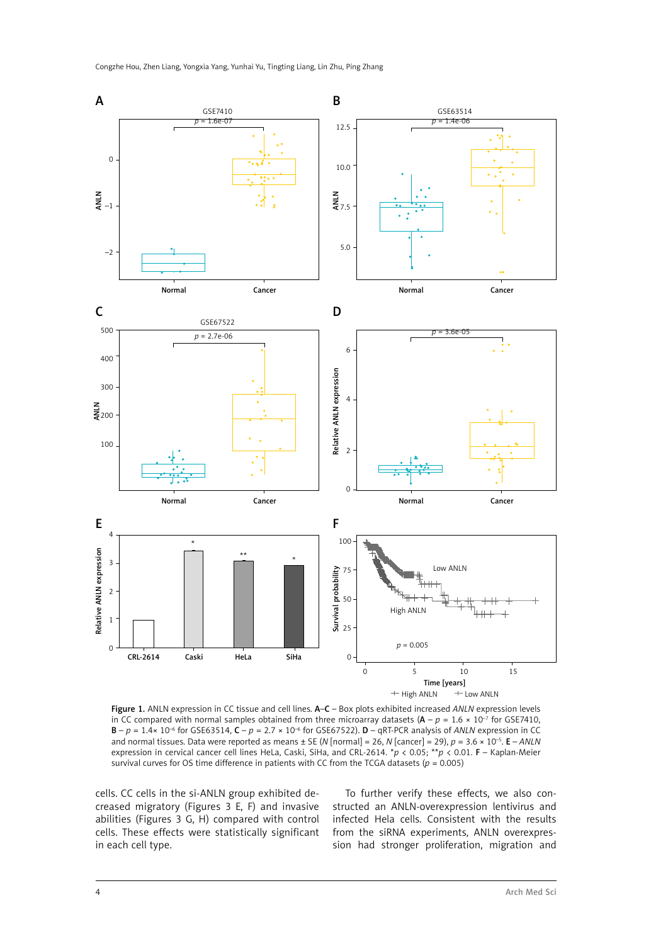

Figure 1. ANLN expression in CC tissue and cell lines. A–C – Box plots exhibited increased *ANLN* expression levels in CC compared with normal samples obtained from three microarray datasets  $(A - p = 1.6 \times 10^{-7}$  for GSE7410,  $B - p = 1.4 \times 10^{-6}$  for GSE63514,  $C - p = 2.7 \times 10^{-6}$  for GSE67522).  $D - qR$ T-PCR analysis of *ANLN* expression in CC and normal tissues. Data were reported as means ± SE (*N* [normal] = 26, *N* [cancer] = 29), *p* = 3.6 × 10–5. E – *ANLN* expression in cervical cancer cell lines HeLa, Caski, SiHa, and CRL-2614. \**p* < 0.05; \*\**p* < 0.01. F – Kaplan-Meier survival curves for OS time difference in patients with CC from the TCGA datasets ( $p = 0.005$ )

cells. CC cells in the si-ANLN group exhibited decreased migratory (Figures 3 E, F) and invasive abilities (Figures 3 G, H) compared with control cells. These effects were statistically significant in each cell type.

To further verify these effects, we also constructed an ANLN-overexpression lentivirus and infected Hela cells. Consistent with the results from the siRNA experiments, ANLN overexpression had stronger proliferation, migration and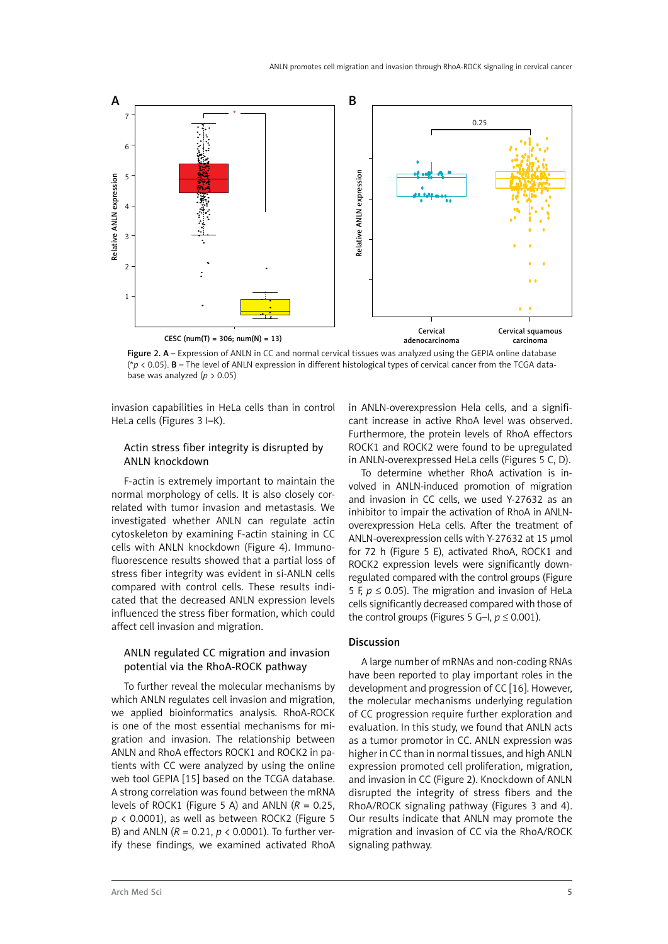

Figure 2. A – Expression of ANLN in CC and normal cervical tissues was analyzed using the GEPIA online database (\**p* < 0.05). B – The level of ANLN expression in different histological types of cervical cancer from the TCGA database was analyzed ( $p > 0.05$ )

invasion capabilities in HeLa cells than in control HeLa cells (Figures 3 I–K).

# Actin stress fiber integrity is disrupted by ANLN knockdown

F-actin is extremely important to maintain the normal morphology of cells. It is also closely correlated with tumor invasion and metastasis. We investigated whether ANLN can regulate actin cytoskeleton by examining F-actin staining in CC cells with ANLN knockdown (Figure 4). Immunofluorescence results showed that a partial loss of stress fiber integrity was evident in si-ANLN cells compared with control cells. These results indicated that the decreased ANLN expression levels influenced the stress fiber formation, which could affect cell invasion and migration.

## ANLN regulated CC migration and invasion potential via the RhoA-ROCK pathway

To further reveal the molecular mechanisms by which ANLN regulates cell invasion and migration, we applied bioinformatics analysis. RhoA-ROCK is one of the most essential mechanisms for migration and invasion. The relationship between ANLN and RhoA effectors ROCK1 and ROCK2 in patients with CC were analyzed by using the online web tool GEPIA [15] based on the TCGA database. A strong correlation was found between the mRNA levels of ROCK1 (Figure 5 A) and ANLN  $(R = 0.25$ . *p* < 0.0001), as well as between ROCK2 (Figure 5 B) and ANLN (*R* = 0.21, *p* < 0.0001). To further verify these findings, we examined activated RhoA in ANLN-overexpression Hela cells, and a significant increase in active RhoA level was observed. Furthermore, the protein levels of RhoA effectors ROCK1 and ROCK2 were found to be upregulated in ANLN-overexpressed HeLa cells (Figures 5 C, D).

To determine whether RhoA activation is involved in ANLN-induced promotion of migration and invasion in CC cells, we used Y-27632 as an inhibitor to impair the activation of RhoA in ANLNoverexpression HeLa cells. After the treatment of ANLN-overexpression cells with Y-27632 at 15 umol for 72 h (Figure 5 E), activated RhoA, ROCK1 and ROCK2 expression levels were significantly downregulated compared with the control groups (Figure 5 F,  $p \le 0.05$ ). The migration and invasion of HeLa cells significantly decreased compared with those of the control groups (Figures 5 G–I,  $p \le 0.001$ ).

# Discussion

A large number of mRNAs and non-coding RNAs have been reported to play important roles in the development and progression of CC [16]. However, the molecular mechanisms underlying regulation of CC progression require further exploration and evaluation. In this study, we found that ANLN acts as a tumor promotor in CC. ANLN expression was higher in CC than in normal tissues, and high ANLN expression promoted cell proliferation, migration, and invasion in CC (Figure 2). Knockdown of ANLN disrupted the integrity of stress fibers and the RhoA/ROCK signaling pathway (Figures 3 and 4). Our results indicate that ANLN may promote the migration and invasion of CC via the RhoA/ROCK signaling pathway.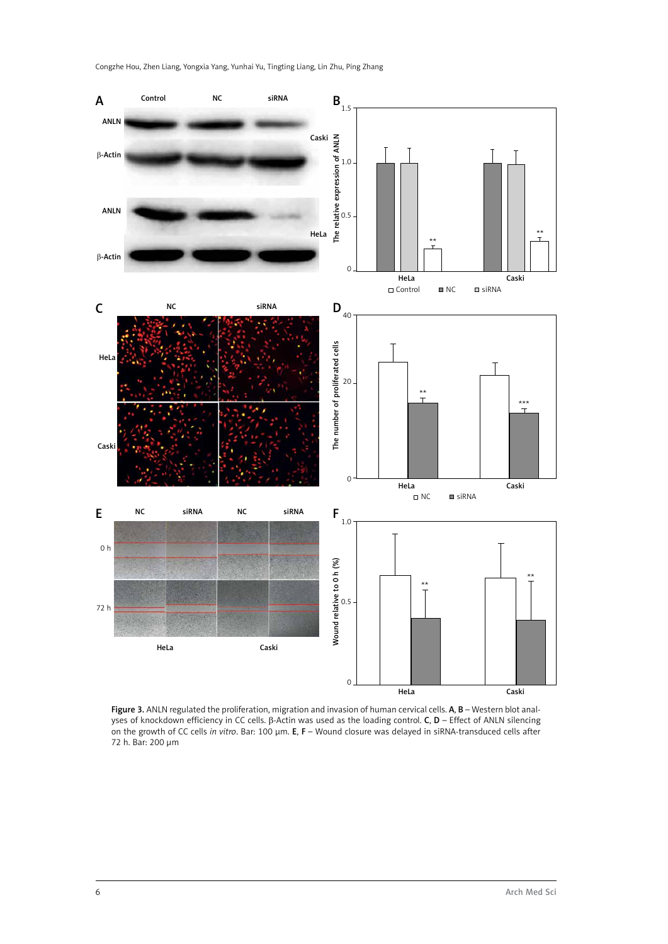

Figure 3. ANLN regulated the proliferation, migration and invasion of human cervical cells. A, B - Western blot analyses of knockdown efficiency in CC cells. β-Actin was used as the loading control. C, D – Effect of ANLN silencing on the growth of CC cells *in vitro*. Bar: 100 µm. E, F – Wound closure was delayed in siRNA-transduced cells after 72 h. Bar: 200 µm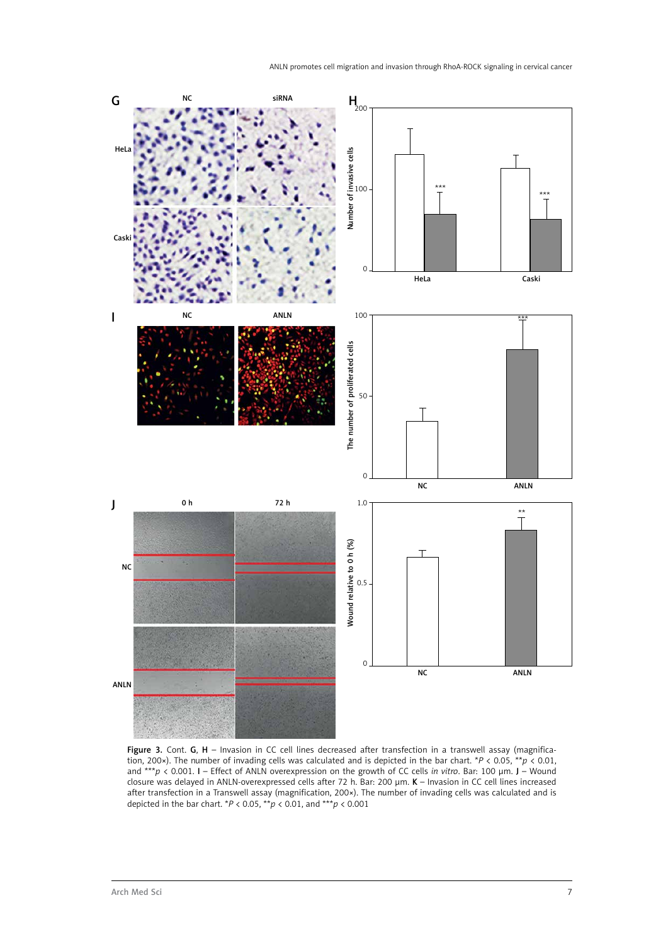

Figure 3. Cont. G, H - Invasion in CC cell lines decreased after transfection in a transwell assay (magnification, 200×). The number of invading cells was calculated and is depicted in the bar chart. \**P* < 0.05, \*\**p* < 0.01, and \*\*\**p* < 0.001. I – Effect of ANLN overexpression on the growth of CC cells *in vitro*. Bar: 100 µm. J – Wound closure was delayed in ANLN-overexpressed cells after 72 h. Bar: 200 µm. K – Invasion in CC cell lines increased after transfection in a Transwell assay (magnification, 200×). The number of invading cells was calculated and is depicted in the bar chart. \**P* < 0.05, \*\**p* < 0.01, and \*\*\**p* < 0.001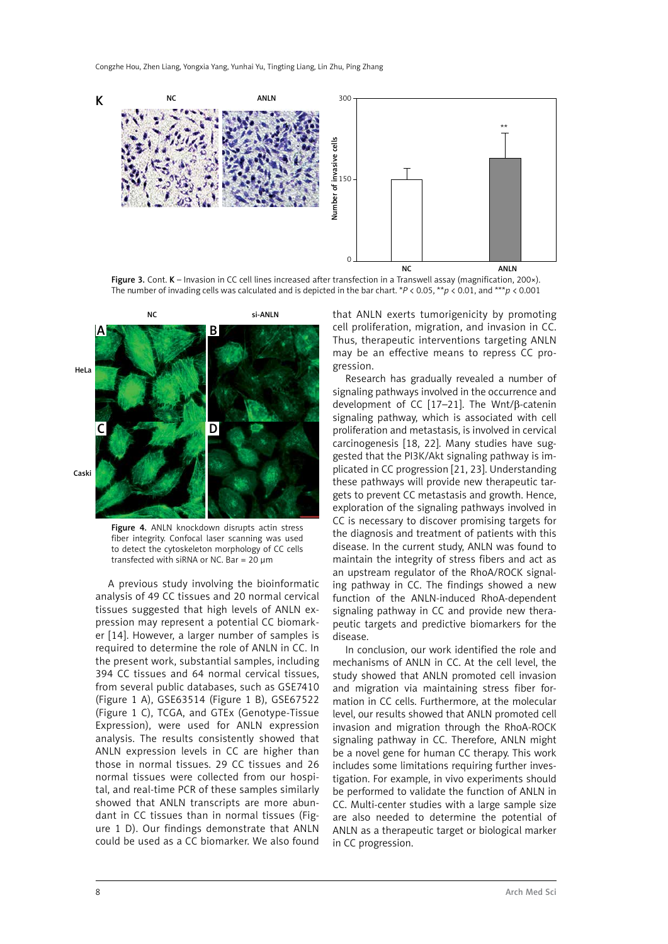

Figure 3. Cont. K – Invasion in CC cell lines increased after transfection in a Transwell assay (magnification, 200×). The number of invading cells was calculated and is depicted in the bar chart. \**P* < 0.05, \*\**p* < 0.01, and \*\*\**p* < 0.001



Figure 4. ANLN knockdown disrupts actin stress fiber integrity. Confocal laser scanning was used to detect the cytoskeleton morphology of CC cells transfected with siRNA or NC. Bar =  $20 \mu m$ 

A previous study involving the bioinformatic analysis of 49 CC tissues and 20 normal cervical tissues suggested that high levels of ANLN expression may represent a potential CC biomarker [14]. However, a larger number of samples is required to determine the role of ANLN in CC. In the present work, substantial samples, including 394 CC tissues and 64 normal cervical tissues, from several public databases, such as GSE7410 (Figure 1 A), GSE63514 (Figure 1 B), GSE67522 (Figure 1 C), TCGA, and GTEx (Genotype-Tissue Expression), were used for ANLN expression analysis. The results consistently showed that ANLN expression levels in CC are higher than those in normal tissues. 29 CC tissues and 26 normal tissues were collected from our hospital, and real-time PCR of these samples similarly showed that ANLN transcripts are more abundant in CC tissues than in normal tissues (Figure 1 D). Our findings demonstrate that ANLN could be used as a CC biomarker. We also found

that ANLN exerts tumorigenicity by promoting cell proliferation, migration, and invasion in CC. Thus, therapeutic interventions targeting ANLN may be an effective means to repress CC progression.

Research has gradually revealed a number of signaling pathways involved in the occurrence and development of CC [17–21]. The Wnt/β-catenin signaling pathway, which is associated with cell proliferation and metastasis, is involved in cervical carcinogenesis [18, 22]. Many studies have suggested that the PI3K/Akt signaling pathway is implicated in CC progression [21, 23]. Understanding these pathways will provide new therapeutic targets to prevent CC metastasis and growth. Hence, exploration of the signaling pathways involved in CC is necessary to discover promising targets for the diagnosis and treatment of patients with this disease. In the current study, ANLN was found to maintain the integrity of stress fibers and act as an upstream regulator of the RhoA/ROCK signaling pathway in CC. The findings showed a new function of the ANLN-induced RhoA-dependent signaling pathway in CC and provide new therapeutic targets and predictive biomarkers for the disease.

In conclusion, our work identified the role and mechanisms of ANLN in CC. At the cell level, the study showed that ANLN promoted cell invasion and migration via maintaining stress fiber formation in CC cells. Furthermore, at the molecular level, our results showed that ANLN promoted cell invasion and migration through the RhoA-ROCK signaling pathway in CC. Therefore, ANLN might be a novel gene for human CC therapy. This work includes some limitations requiring further investigation. For example, in vivo experiments should be performed to validate the function of ANLN in CC. Multi-center studies with a large sample size are also needed to determine the potential of ANLN as a therapeutic target or biological marker in CC progression.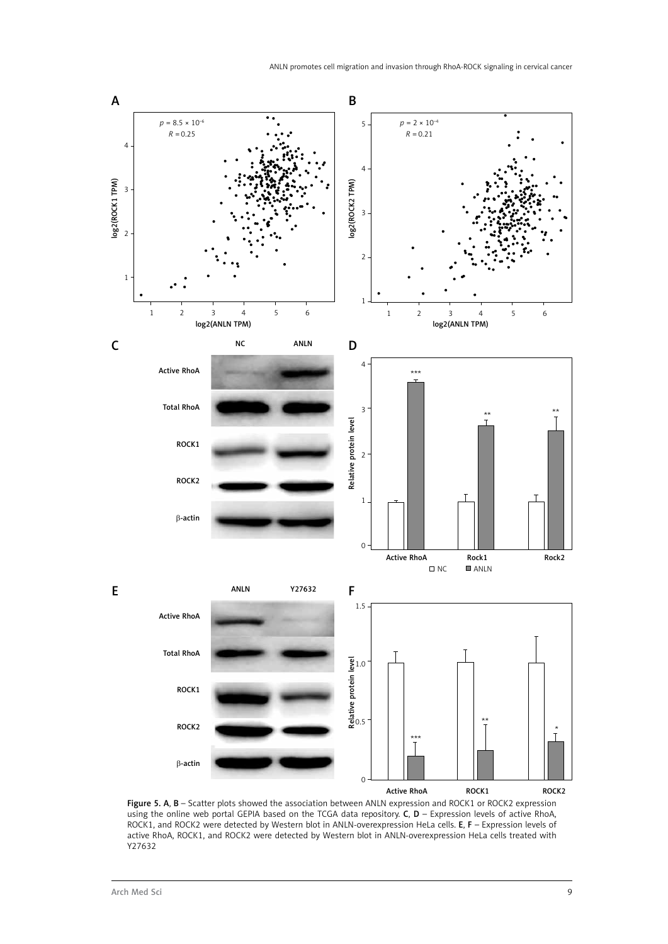

Figure 5. A, B - Scatter plots showed the association between ANLN expression and ROCK1 or ROCK2 expression using the online web portal GEPIA based on the TCGA data repository. C, D – Expression levels of active RhoA, ROCK1, and ROCK2 were detected by Western blot in ANLN-overexpression HeLa cells. E, F – Expression levels of active RhoA, ROCK1, and ROCK2 were detected by Western blot in ANLN-overexpression HeLa cells treated with Y27632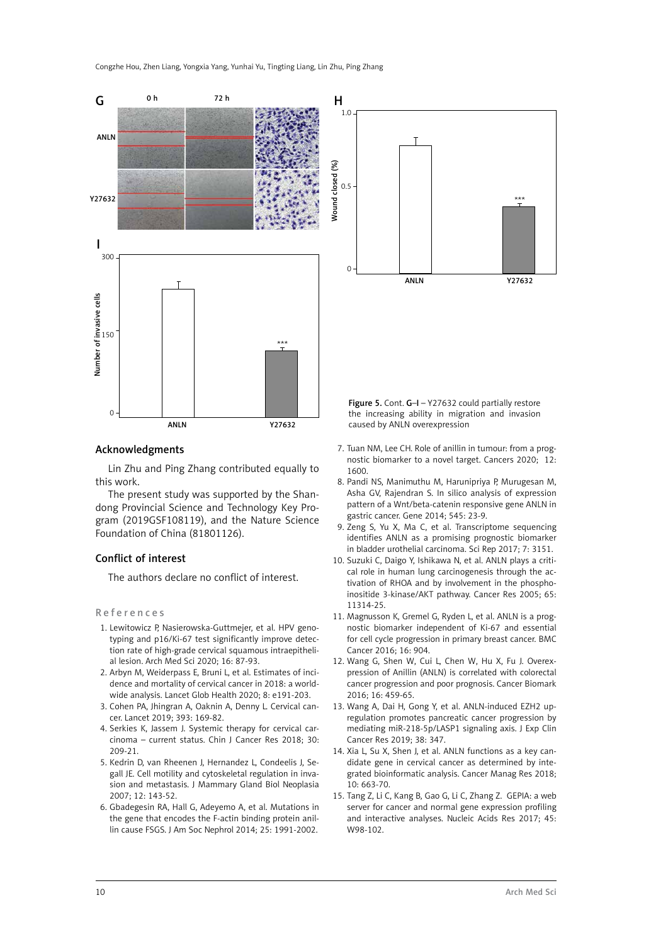

#### Acknowledgments

Lin Zhu and Ping Zhang contributed equally to this work.

The present study was supported by the Shandong Provincial Science and Technology Key Program (2019GSF108119), and the Nature Science Foundation of China (81801126).

## Conflict of interest

The authors declare no conflict of interest.

#### References

- 1. Lewitowicz P, Nasierowska-Guttmejer, et al. HPV genotyping and p16/Ki-67 test significantly improve detection rate of high-grade cervical squamous intraepithelial lesion. Arch Med Sci 2020; 16: 87-93.
- 2. Arbyn M, Weiderpass E, Bruni L, et al. Estimates of incidence and mortality of cervical cancer in 2018: a worldwide analysis. Lancet Glob Health 2020; 8: e191-203.
- 3. Cohen PA, Jhingran A, Oaknin A, Denny L. Cervical cancer. Lancet 2019; 393: 169-82.
- 4. Serkies K, Jassem J. Systemic therapy for cervical carcinoma – current status. Chin J Cancer Res 2018; 30: 209-21.
- 5. Kedrin D, van Rheenen J, Hernandez L, Condeelis J, Segall JE. Cell motility and cytoskeletal regulation in invasion and metastasis. J Mammary Gland Biol Neoplasia 2007; 12: 143-52.
- 6. Gbadegesin RA, Hall G, Adeyemo A, et al. Mutations in the gene that encodes the F-actin binding protein anillin cause FSGS. J Am Soc Nephrol 2014; 25: 1991-2002.



Figure 5. Cont. G–I – Y27632 could partially restore the increasing ability in migration and invasion caused by ANLN overexpression

- 7. Tuan NM, Lee CH. Role of anillin in tumour: from a prognostic biomarker to a novel target. Cancers 2020; 12: 1600.
- 8. Pandi NS, Manimuthu M, Harunipriya P, Murugesan M, Asha GV, Rajendran S. In silico analysis of expression pattern of a Wnt/beta-catenin responsive gene ANLN in gastric cancer. Gene 2014; 545: 23-9.
- 9. Zeng S, Yu X, Ma C, et al. Transcriptome sequencing identifies ANLN as a promising prognostic biomarker in bladder urothelial carcinoma. Sci Rep 2017; 7: 3151.
- 10. Suzuki C, Daigo Y, Ishikawa N, et al. ANLN plays a critical role in human lung carcinogenesis through the activation of RHOA and by involvement in the phosphoinositide 3-kinase/AKT pathway. Cancer Res 2005; 65: 11314-25.
- 11. Magnusson K, Gremel G, Ryden L, et al. ANLN is a prognostic biomarker independent of Ki-67 and essential for cell cycle progression in primary breast cancer. BMC Cancer 2016; 16: 904.
- 12. Wang G, Shen W, Cui L, Chen W, Hu X, Fu J. Overexpression of Anillin (ANLN) is correlated with colorectal cancer progression and poor prognosis. Cancer Biomark 2016; 16: 459-65.
- 13. Wang A, Dai H, Gong Y, et al. ANLN-induced EZH2 upregulation promotes pancreatic cancer progression by mediating miR-218-5p/LASP1 signaling axis. J Exp Clin Cancer Res 2019; 38: 347.
- 14. Xia L, Su X, Shen J, et al. ANLN functions as a key candidate gene in cervical cancer as determined by integrated bioinformatic analysis. Cancer Manag Res 2018; 10: 663-70.
- 15. Tang Z, Li C, Kang B, Gao G, Li C, Zhang Z. GEPIA: a web server for cancer and normal gene expression profiling and interactive analyses. Nucleic Acids Res 2017; 45: W98-102.